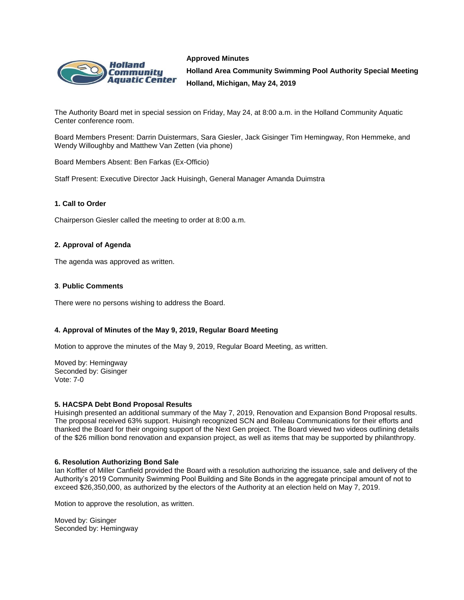

**Approved Minutes Holland Area Community Swimming Pool Authority Special Meeting Holland, Michigan, May 24, 2019**

The Authority Board met in special session on Friday, May 24, at 8:00 a.m. in the Holland Community Aquatic Center conference room.

Board Members Present: Darrin Duistermars, Sara Giesler, Jack Gisinger Tim Hemingway, Ron Hemmeke, and Wendy Willoughby and Matthew Van Zetten (via phone)

Board Members Absent: Ben Farkas (Ex-Officio)

Staff Present: Executive Director Jack Huisingh, General Manager Amanda Duimstra

# **1. Call to Order**

Chairperson Giesler called the meeting to order at 8:00 a.m.

# **2. Approval of Agenda**

The agenda was approved as written.

## **3**. **Public Comments**

There were no persons wishing to address the Board.

## **4. Approval of Minutes of the May 9, 2019, Regular Board Meeting**

Motion to approve the minutes of the May 9, 2019, Regular Board Meeting, as written.

Moved by: Hemingway Seconded by: Gisinger Vote: 7-0

## **5. HACSPA Debt Bond Proposal Results**

Huisingh presented an additional summary of the May 7, 2019, Renovation and Expansion Bond Proposal results. The proposal received 63% support. Huisingh recognized SCN and Boileau Communications for their efforts and thanked the Board for their ongoing support of the Next Gen project. The Board viewed two videos outlining details of the \$26 million bond renovation and expansion project, as well as items that may be supported by philanthropy.

## **6. Resolution Authorizing Bond Sale**

Ian Koffler of Miller Canfield provided the Board with a resolution authorizing the issuance, sale and delivery of the Authority's 2019 Community Swimming Pool Building and Site Bonds in the aggregate principal amount of not to exceed \$26,350,000, as authorized by the electors of the Authority at an election held on May 7, 2019.

Motion to approve the resolution, as written.

Moved by: Gisinger Seconded by: Hemingway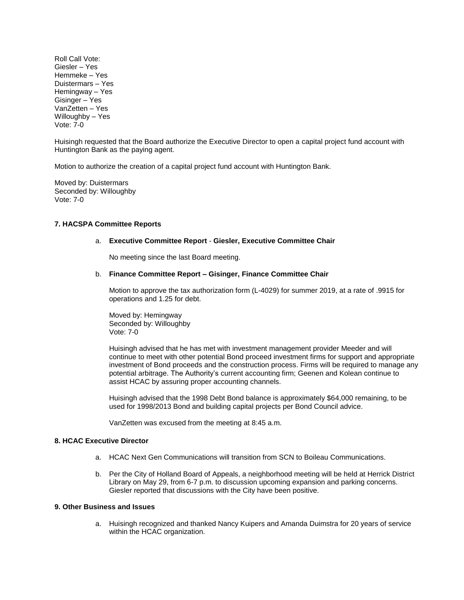Roll Call Vote: Giesler – Yes Hemmeke – Yes Duistermars – Yes Hemingway – Yes Gisinger – Yes VanZetten – Yes Willoughby – Yes Vote: 7-0

Huisingh requested that the Board authorize the Executive Director to open a capital project fund account with Huntington Bank as the paying agent.

Motion to authorize the creation of a capital project fund account with Huntington Bank.

Moved by: Duistermars Seconded by: Willoughby Vote: 7-0

## **7. HACSPA Committee Reports**

#### a. **Executive Committee Report** - **Giesler, Executive Committee Chair**

No meeting since the last Board meeting.

#### b. **Finance Committee Report – Gisinger, Finance Committee Chair**

Motion to approve the tax authorization form (L-4029) for summer 2019, at a rate of .9915 for operations and 1.25 for debt.

Moved by: Hemingway Seconded by: Willoughby Vote: 7-0

Huisingh advised that he has met with investment management provider Meeder and will continue to meet with other potential Bond proceed investment firms for support and appropriate investment of Bond proceeds and the construction process. Firms will be required to manage any potential arbitrage. The Authority's current accounting firm; Geenen and Kolean continue to assist HCAC by assuring proper accounting channels.

Huisingh advised that the 1998 Debt Bond balance is approximately \$64,000 remaining, to be used for 1998/2013 Bond and building capital projects per Bond Council advice.

VanZetten was excused from the meeting at 8:45 a.m.

## **8. HCAC Executive Director**

- a. HCAC Next Gen Communications will transition from SCN to Boileau Communications.
- b. Per the City of Holland Board of Appeals, a neighborhood meeting will be held at Herrick District Library on May 29, from 6-7 p.m. to discussion upcoming expansion and parking concerns. Giesler reported that discussions with the City have been positive.

#### **9. Other Business and Issues**

a. Huisingh recognized and thanked Nancy Kuipers and Amanda Duimstra for 20 years of service within the HCAC organization.